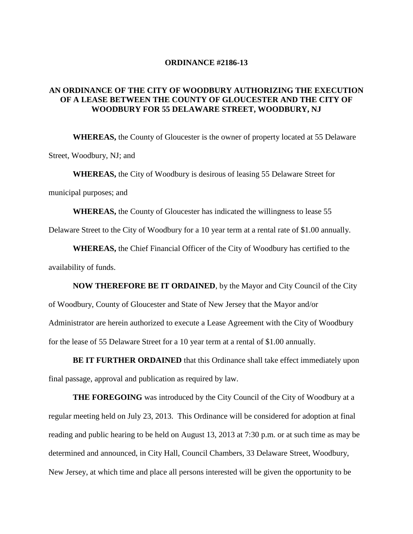## **ORDINANCE #2186-13**

## **AN ORDINANCE OF THE CITY OF WOODBURY AUTHORIZING THE EXECUTION OF A LEASE BETWEEN THE COUNTY OF GLOUCESTER AND THE CITY OF WOODBURY FOR 55 DELAWARE STREET, WOODBURY, NJ**

**WHEREAS,** the County of Gloucester is the owner of property located at 55 Delaware Street, Woodbury, NJ; and

**WHEREAS,** the City of Woodbury is desirous of leasing 55 Delaware Street for municipal purposes; and

**WHEREAS,** the County of Gloucester has indicated the willingness to lease 55

Delaware Street to the City of Woodbury for a 10 year term at a rental rate of \$1.00 annually.

**WHEREAS,** the Chief Financial Officer of the City of Woodbury has certified to the availability of funds.

**NOW THEREFORE BE IT ORDAINED**, by the Mayor and City Council of the City of Woodbury, County of Gloucester and State of New Jersey that the Mayor and/or Administrator are herein authorized to execute a Lease Agreement with the City of Woodbury for the lease of 55 Delaware Street for a 10 year term at a rental of \$1.00 annually.

**BE IT FURTHER ORDAINED** that this Ordinance shall take effect immediately upon final passage, approval and publication as required by law.

**THE FOREGOING** was introduced by the City Council of the City of Woodbury at a regular meeting held on July 23, 2013. This Ordinance will be considered for adoption at final reading and public hearing to be held on August 13, 2013 at 7:30 p.m. or at such time as may be determined and announced, in City Hall, Council Chambers, 33 Delaware Street, Woodbury, New Jersey, at which time and place all persons interested will be given the opportunity to be